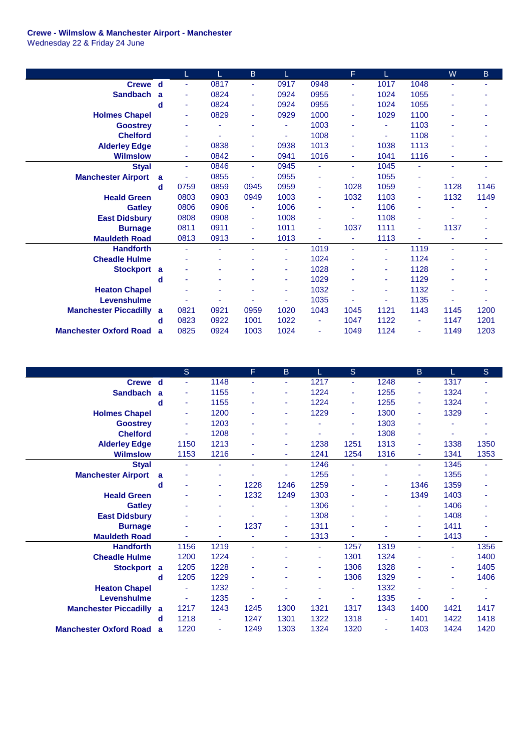## **Crewe - Wilmslow & Manchester Airport - Manchester**

Wednesday 22 & Friday 24 June

|                               |   | L              | L    | B    |      |      | F              | L                        |      | W    | B    |
|-------------------------------|---|----------------|------|------|------|------|----------------|--------------------------|------|------|------|
| Crewe d                       |   | $\blacksquare$ | 0817 | ٠    | 0917 | 0948 | $\blacksquare$ | 1017                     | 1048 | ÷.   | ٠    |
| <b>Sandbach</b>               | a | $\blacksquare$ | 0824 | ٠    | 0924 | 0955 | ä,             | 1024                     | 1055 |      |      |
|                               | d | $\blacksquare$ | 0824 | ٠    | 0924 | 0955 | $\blacksquare$ | 1024                     | 1055 | ۰    |      |
| <b>Holmes Chapel</b>          |   | $\blacksquare$ | 0829 | ٠    | 0929 | 1000 | Ξ              | 1029                     | 1100 | ٠    |      |
| <b>Goostrey</b>               |   | ۰              |      |      | ٠    | 1003 | ä,             | ٠                        | 1103 |      |      |
| <b>Chelford</b>               |   | ٠              |      |      | ٠    | 1008 | ٠              | $\overline{\phantom{a}}$ | 1108 |      |      |
| <b>Alderley Edge</b>          |   | ٠              | 0838 | ٠    | 0938 | 1013 | ä,             | 1038                     | 1113 |      |      |
| <b>Wilmslow</b>               |   | $\blacksquare$ | 0842 | ٠    | 0941 | 1016 | ä,             | 1041                     | 1116 | ٠    | ۰    |
| <b>Styal</b>                  |   | $\blacksquare$ | 0846 | ÷.   | 0945 | ٠    | ÷.             | 1045                     | ÷    | ä,   | ٠    |
| <b>Manchester Airport</b>     | a | ٠              | 0855 | ٠    | 0955 | ٠    | ٠              | 1055                     | ۰    |      |      |
|                               | d | 0759           | 0859 | 0945 | 0959 | ٠    | 1028           | 1059                     | ۰    | 1128 | 1146 |
| <b>Heald Green</b>            |   | 0803           | 0903 | 0949 | 1003 | ٠    | 1032           | 1103                     |      | 1132 | 1149 |
| <b>Gatley</b>                 |   | 0806           | 0906 | ٠    | 1006 | ٠    | ä,             | 1106                     |      |      |      |
| <b>East Didsbury</b>          |   | 0808           | 0908 | ٠    | 1008 | ٠    | ä,             | 1108                     |      |      |      |
| <b>Burnage</b>                |   | 0811           | 0911 | ٠    | 1011 | ٠    | 1037           | 1111                     | ٠    | 1137 | ٠    |
| <b>Mauldeth Road</b>          |   | 0813           | 0913 | ٠    | 1013 | ä,   | $\blacksquare$ | 1113                     |      | ٠    | ۰    |
| <b>Handforth</b>              |   | ä,             |      |      | ٠    | 1019 | ÷.             | $\blacksquare$           | 1119 | ä,   | ٠    |
| <b>Cheadle Hulme</b>          |   |                |      |      | ٠    | 1024 | ٠              | $\blacksquare$           | 1124 |      |      |
| <b>Stockport</b>              | a |                |      |      | ٠    | 1028 |                | ٠                        | 1128 |      |      |
|                               | d | ٠              | ۰    |      | ٠    | 1029 |                | ٠                        | 1129 | ٠    |      |
| <b>Heaton Chapel</b>          |   |                | ۰    |      | ٠    | 1032 | ä,             | $\blacksquare$           | 1132 |      |      |
| Levenshulme                   |   |                |      |      | ٠    | 1035 |                | $\blacksquare$           | 1135 |      |      |
| <b>Manchester Piccadilly</b>  | a | 0821           | 0921 | 0959 | 1020 | 1043 | 1045           | 1121                     | 1143 | 1145 | 1200 |
|                               | d | 0823           | 0922 | 1001 | 1022 | ٠    | 1047           | 1122                     | ٠    | 1147 | 1201 |
| <b>Manchester Oxford Road</b> | a | 0825           | 0924 | 1003 | 1024 | ٠    | 1049           | 1124                     | ٠    | 1149 | 1203 |

|                               |   | <sub>S</sub> |      | F.   | B.   | L.   | S.   |                | $\mathsf B$ |      | S    |
|-------------------------------|---|--------------|------|------|------|------|------|----------------|-------------|------|------|
| Crewe d                       |   | ÷            | 1148 | ä,   | ٠    | 1217 | ÷    | 1248           | ٠           | 1317 | ÷.   |
| <b>Sandbach</b>               | a | ٠            | 1155 |      | ٠    | 1224 | ä,   | 1255           | ٠           | 1324 |      |
|                               | d | ٠            | 1155 |      | ٠    | 1224 | ÷    | 1255           | ٠           | 1324 | ۰    |
| <b>Holmes Chapel</b>          |   | ٠            | 1200 |      | ٠    | 1229 | ٠    | 1300           | ٠           | 1329 | ۰    |
| <b>Goostrey</b>               |   | ٠            | 1203 | ٠    |      |      | ٠    | 1303           |             |      | ۰    |
| <b>Chelford</b>               |   |              | 1208 | ٠    | ٠    |      | ÷    | 1308           | ٠           |      | ٠    |
| <b>Alderley Edge</b>          |   | 1150         | 1213 |      | ٠    | 1238 | 1251 | 1313           | ٠           | 1338 | 1350 |
| <b>Wilmslow</b>               |   | 1153         | 1216 |      | ٠    | 1241 | 1254 | 1316           |             | 1341 | 1353 |
| <b>Styal</b>                  |   | ٠            | ÷    |      | ٠    | 1246 | ٠    | ÷              | ÷           | 1345 | ٠    |
| <b>Manchester Airport</b>     | a |              | ۰    |      | ÷,   | 1255 | ÷    | ٠              | ٠           | 1355 | ۰    |
|                               | d |              | ٠    | 1228 | 1246 | 1259 | ÷    | ٠              | 1346        | 1359 | ä,   |
| <b>Heald Green</b>            |   |              | ٠    | 1232 | 1249 | 1303 | ۰    | ۰              | 1349        | 1403 | ٠    |
| <b>Gatley</b>                 |   |              | ۰    |      | ÷    | 1306 | ۰    |                |             | 1406 | ä,   |
| <b>East Didsbury</b>          |   |              |      |      | ٠    | 1308 | ٠    |                |             | 1408 | ä,   |
| <b>Burnage</b>                |   |              | ٠    | 1237 | ٠    | 1311 | ۰    |                |             | 1411 | ٠    |
| <b>Mauldeth Road</b>          |   |              | ٠    |      | ٠    | 1313 |      |                | ٠           | 1413 |      |
| <b>Handforth</b>              |   | 1156         | 1219 | ÷.   | ٠    | ÷.   | 1257 | 1319           | ÷.          | ÷    | 1356 |
| <b>Cheadle Hulme</b>          |   | 1200         | 1224 |      |      | ٠    | 1301 | 1324           |             | ٠    | 1400 |
| <b>Stockport</b>              | a | 1205         | 1228 | ÷    |      | ٠    | 1306 | 1328           | ٠           | ٠    | 1405 |
|                               | d | 1205         | 1229 |      |      | ٠    | 1306 | 1329           |             |      | 1406 |
| <b>Heaton Chapel</b>          |   |              | 1232 |      |      |      | ä,   | 1332           |             |      |      |
| Levenshulme                   |   |              | 1235 |      |      |      | ۰    | 1335           |             |      |      |
| <b>Manchester Piccadilly</b>  | a | 1217         | 1243 | 1245 | 1300 | 1321 | 1317 | 1343           | 1400        | 1421 | 1417 |
|                               | d | 1218         | ٠    | 1247 | 1301 | 1322 | 1318 | $\blacksquare$ | 1401        | 1422 | 1418 |
| <b>Manchester Oxford Road</b> | a | 1220         | ٠    | 1249 | 1303 | 1324 | 1320 | $\blacksquare$ | 1403        | 1424 | 1420 |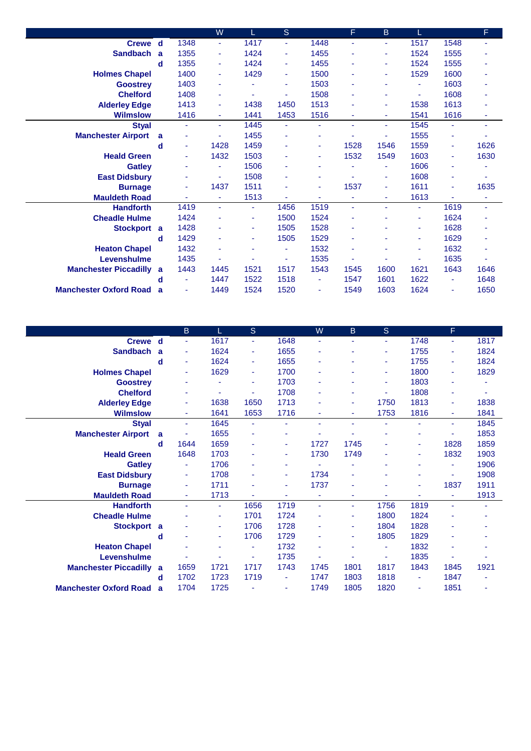|                               |   |                | W    |      | S              |                | F    | B    |      |                | F    |
|-------------------------------|---|----------------|------|------|----------------|----------------|------|------|------|----------------|------|
| Crewe d                       |   | 1348           | ÷.   | 1417 | ÷              | 1448           | ٠    | ٠    | 1517 | 1548           | ÷    |
| <b>Sandbach</b>               | a | 1355           | ٠    | 1424 | $\sim$         | 1455           |      | ٠    | 1524 | 1555           |      |
|                               | d | 1355           | ٠    | 1424 | ٠              | 1455           |      | ٠    | 1524 | 1555           |      |
| <b>Holmes Chapel</b>          |   | 1400           | ٠    | 1429 | $\mathbf{r}$   | 1500           |      | ٠    | 1529 | 1600           | ۰    |
| <b>Goostrey</b>               |   | 1403           | ٠    |      | ٠              | 1503           | ۰    | ٠    |      | 1603           | ٠    |
| <b>Chelford</b>               |   | 1408           | ٠    | ٠    | $\blacksquare$ | 1508           |      | ٠    | ٠    | 1608           | ä,   |
| <b>Alderley Edge</b>          |   | 1413           | ٠    | 1438 | 1450           | 1513           |      | ٠    | 1538 | 1613           |      |
| <b>Wilmslow</b>               |   | 1416           | ٠    | 1441 | 1453           | 1516           |      | ٠    | 1541 | 1616           | ٠    |
| <b>Styal</b>                  |   | $\blacksquare$ | ÷    | 1445 | $\blacksquare$ | $\blacksquare$ | ٠    | ٠    | 1545 | $\blacksquare$ | ٠    |
| <b>Manchester Airport</b>     | a |                |      | 1455 | ä,             | ۰              |      | ٠    | 1555 | $\blacksquare$ |      |
|                               | d | $\blacksquare$ | 1428 | 1459 | ٠              | $\blacksquare$ | 1528 | 1546 | 1559 | ٠              | 1626 |
| <b>Heald Green</b>            |   | ٠              | 1432 | 1503 |                | ٠              | 1532 | 1549 | 1603 | ÷              | 1630 |
| <b>Gatley</b>                 |   |                |      | 1506 |                |                |      | ٠    | 1606 | ٠              |      |
| <b>East Didsbury</b>          |   |                |      | 1508 |                |                |      | ٠    | 1608 | ٠              |      |
| <b>Burnage</b>                |   | ٠              | 1437 | 1511 |                | ٠              | 1537 | ٠    | 1611 | ٠              | 1635 |
| <b>Mauldeth Road</b>          |   |                |      | 1513 | ٠              | ٠              | ÷    | ٠    | 1613 | ٠              |      |
| <b>Handforth</b>              |   | 1419           | ÷.   | ÷    | 1456           | 1519           | ä,   | ٠    | ÷.   | 1619           | ÷    |
| <b>Cheadle Hulme</b>          |   | 1424           | ٠    | ٠    | 1500           | 1524           |      | ٠    | ٠    | 1624           | ۰    |
| Stockport a                   |   | 1428           |      | ۰    | 1505           | 1528           |      |      |      | 1628           |      |
|                               | d | 1429           |      | ۰    | 1505           | 1529           |      |      |      | 1629           | ۰    |
| <b>Heaton Chapel</b>          |   | 1432           |      | ۰    | $\blacksquare$ | 1532           |      | ٠    | ۰    | 1632           | ÷    |
| Levenshulme                   |   | 1435           |      |      | ä,             | 1535           |      | ٠    |      | 1635           |      |
| <b>Manchester Piccadilly</b>  | a | 1443           | 1445 | 1521 | 1517           | 1543           | 1545 | 1600 | 1621 | 1643           | 1646 |
|                               | d | ٠              | 1447 | 1522 | 1518           | ٠              | 1547 | 1601 | 1622 | ٠              | 1648 |
| <b>Manchester Oxford Road</b> | a | $\blacksquare$ | 1449 | 1524 | 1520           | $\blacksquare$ | 1549 | 1603 | 1624 | $\blacksquare$ | 1650 |

|                               |   | B.   | L    | S                        |      | W    | B    | <sub>S</sub> |      | F    |                |
|-------------------------------|---|------|------|--------------------------|------|------|------|--------------|------|------|----------------|
| Crewe d                       |   | ٠    | 1617 | $\blacksquare$           | 1648 | ٠    | ۰    | ٠            | 1748 | ÷.   | 1817           |
| <b>Sandbach</b>               | a | ٠    | 1624 | ٠                        | 1655 | ٠    | ۰    | ٠            | 1755 | ٠    | 1824           |
|                               | d | ٠    | 1624 | $\blacksquare$           | 1655 |      |      | ٠            | 1755 | ٠    | 1824           |
| <b>Holmes Chapel</b>          |   | ٠    | 1629 | $\overline{\phantom{a}}$ | 1700 |      |      | ٠            | 1800 | ٠    | 1829           |
| <b>Goostrey</b>               |   | ۰    | ٠    | ٠                        | 1703 |      |      | ٠            | 1803 |      |                |
| <b>Chelford</b>               |   | ٠    | ٠    |                          | 1708 |      | ۰    | ٠            | 1808 | ٠    |                |
| <b>Alderley Edge</b>          |   | ٠    | 1638 | 1650                     | 1713 | ÷    | ÷    | 1750         | 1813 | ٠    | 1838           |
| <b>Wilmslow</b>               |   | ٠    | 1641 | 1653                     | 1716 | ٠    | ÷    | 1753         | 1816 | ÷    | 1841           |
| <b>Styal</b>                  |   | ٠    | 1645 | ÷,                       | ٠    | ä,   | ÷    | ٠            |      | ÷.   | 1845           |
| <b>Manchester Airport</b>     | a |      | 1655 |                          |      |      |      | ٠            |      |      | 1853           |
|                               | d | 1644 | 1659 |                          |      | 1727 | 1745 | ٠            | ٠    | 1828 | 1859           |
| <b>Heald Green</b>            |   | 1648 | 1703 |                          | ٠    | 1730 | 1749 | ۰            | ٠    | 1832 | 1903           |
| <b>Gatley</b>                 |   | ٠    | 1706 |                          | ٠    |      |      | ٠            |      | ٠    | 1906           |
| <b>East Didsbury</b>          |   | ٠    | 1708 |                          | ٠    | 1734 | ۰    | ٠            |      | ٠    | 1908           |
| <b>Burnage</b>                |   | ٠    | 1711 |                          | ٠    | 1737 | ۰    | ٠            | ٠    | 1837 | 1911           |
| <b>Mauldeth Road</b>          |   | ۰    | 1713 |                          | ٠    | ٠    | ۰    |              |      | ٠    | 1913           |
| <b>Handforth</b>              |   | ÷,   | ٠    | 1656                     | 1719 | ٠    | ÷    | 1756         | 1819 | ä,   |                |
| <b>Cheadle Hulme</b>          |   |      | ٠    | 1701                     | 1724 |      | ۰    | 1800         | 1824 |      |                |
| <b>Stockport</b>              | a |      | ٠    | 1706                     | 1728 |      | ۰    | 1804         | 1828 |      |                |
|                               | d | ٠    | ٠    | 1706                     | 1729 |      | ۰    | 1805         | 1829 | ٠    |                |
| <b>Heaton Chapel</b>          |   | ۰    | ٠    | $\blacksquare$           | 1732 | ۰    |      | ٠            | 1832 | ٠    |                |
| Levenshulme                   |   | ۰    | ÷    | ÷                        | 1735 |      | ۰    | ٠            | 1835 | ٠    | $\blacksquare$ |
| <b>Manchester Piccadilly</b>  | a | 1659 | 1721 | 1717                     | 1743 | 1745 | 1801 | 1817         | 1843 | 1845 | 1921           |
|                               | d | 1702 | 1723 | 1719                     |      | 1747 | 1803 | 1818         | ٠    | 1847 |                |
| <b>Manchester Oxford Road</b> | a | 1704 | 1725 |                          |      | 1749 | 1805 | 1820         | ٠    | 1851 |                |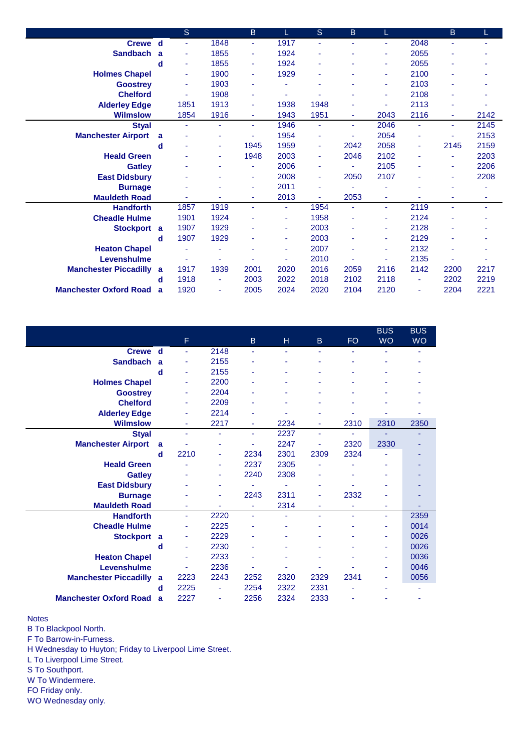|                               |              | <sub>S</sub> |      | $\mathsf B$ |      | <sub>S</sub> | B    | L              |      | B              |      |
|-------------------------------|--------------|--------------|------|-------------|------|--------------|------|----------------|------|----------------|------|
| Crewe d                       |              | ٠            | 1848 | ٠           | 1917 | ÷            |      | ٠              | 2048 |                | ۰    |
| <b>Sandbach</b>               | $\mathbf{a}$ | ٠            | 1855 | ٠           | 1924 | ٠            |      | ٠              | 2055 |                |      |
|                               | d            | ٠            | 1855 | ٠           | 1924 | ٠            |      | ٠              | 2055 |                |      |
| <b>Holmes Chapel</b>          |              | ٠            | 1900 | ٠           | 1929 | ä,           |      | ٠              | 2100 | ٠              |      |
| <b>Goostrey</b>               |              | ٠            | 1903 | ٠           | ä,   | ٠            |      | ٠              | 2103 | ٠              |      |
| <b>Chelford</b>               |              | ٠            | 1908 | ٠           | ٠    | ٠            |      | $\blacksquare$ | 2108 |                | ٠    |
| <b>Alderley Edge</b>          |              | 1851         | 1913 | ٠           | 1938 | 1948         |      | $\blacksquare$ | 2113 |                |      |
| <b>Wilmslow</b>               |              | 1854         | 1916 | ٠           | 1943 | 1951         |      | 2043           | 2116 |                | 2142 |
| <b>Styal</b>                  |              | ÷            | ÷    | ÷           | 1946 | ٠            | ÷    | 2046           | ٠    | ÷              | 2145 |
| <b>Manchester Airport</b>     | a            |              | ٠    |             | 1954 | ٠            | ÷    | 2054           | ä,   | $\blacksquare$ | 2153 |
|                               | d            | ٠            | ٠    | 1945        | 1959 | ٠            | 2042 | 2058           | ٠    | 2145           | 2159 |
| <b>Heald Green</b>            |              |              | ٠    | 1948        | 2003 | ٠            | 2046 | 2102           | ۰    | ٠              | 2203 |
| <b>Gatley</b>                 |              |              |      |             | 2006 | ÷            | ÷    | 2105           |      | ٠              | 2206 |
| <b>East Didsbury</b>          |              |              |      | ٠           | 2008 | ٠            | 2050 | 2107           |      | ٠              | 2208 |
| <b>Burnage</b>                |              |              |      | ٠           | 2011 | ٠            |      |                |      |                |      |
| <b>Mauldeth Road</b>          |              |              | ٠    | ٠           | 2013 | ÷            | 2053 | ٠              |      | ٠              | ۰    |
| <b>Handforth</b>              |              | 1857         | 1919 | ÷           | ÷    | 1954         | ä,   | ÷              | 2119 | ä,             | ٠    |
| <b>Cheadle Hulme</b>          |              | 1901         | 1924 |             | ٠    | 1958         | ٠    | ٠              | 2124 |                |      |
| Stockport a                   |              | 1907         | 1929 |             | ٠    | 2003         |      | ٠              | 2128 |                |      |
|                               | d            | 1907         | 1929 |             | ٠    | 2003         |      | ٠              | 2129 |                |      |
| <b>Heaton Chapel</b>          |              |              |      |             | ٠    | 2007         |      | ٠              | 2132 | ۰              |      |
| Levenshulme                   |              | ٠            | ٠    |             | ٠    | 2010         |      | ٠              | 2135 | ٠              |      |
| <b>Manchester Piccadilly</b>  | a            | 1917         | 1939 | 2001        | 2020 | 2016         | 2059 | 2116           | 2142 | 2200           | 2217 |
|                               | d            | 1918         | ٠    | 2003        | 2022 | 2018         | 2102 | 2118           | ٠    | 2202           | 2219 |
| <b>Manchester Oxford Road</b> | a            | 1920         | ٠    | 2005        | 2024 | 2020         | 2104 | 2120           |      | 2204           | 2221 |

|                                |   |      |      |                |                          |                          |           | <b>BUS</b> | <b>BUS</b> |
|--------------------------------|---|------|------|----------------|--------------------------|--------------------------|-----------|------------|------------|
|                                |   | F    |      | B.             | H                        | B.                       | <b>FO</b> | <b>WO</b>  | <b>WO</b>  |
| Crewe d                        |   | ä,   | 2148 | ÷              | $\overline{\phantom{a}}$ | $\overline{\phantom{a}}$ | ٠         | ٠          | ۰          |
| <b>Sandbach</b>                | a | ٠    | 2155 |                |                          |                          |           |            |            |
|                                | d | ٠    | 2155 |                |                          |                          |           |            |            |
| <b>Holmes Chapel</b>           |   | ٠    | 2200 |                |                          |                          |           |            |            |
| <b>Goostrey</b>                |   | ۰    | 2204 |                |                          |                          |           |            |            |
| <b>Chelford</b>                |   | ٠    | 2209 |                |                          |                          |           |            |            |
| <b>Alderley Edge</b>           |   | ä,   | 2214 |                |                          |                          |           |            |            |
| <b>Wilmslow</b>                |   | ٠    | 2217 | ٠              | 2234                     | ٠                        | 2310      | 2310       | 2350       |
| <b>Styal</b>                   |   | ä,   | ÷    | ÷              | 2237                     | ٠                        | $\sim$    |            |            |
| <b>Manchester Airport</b>      | a |      | ٠    |                | 2247                     |                          | 2320      | 2330       |            |
|                                | d | 2210 | ٠    | 2234           | 2301                     | 2309                     | 2324      |            |            |
| <b>Heald Green</b>             |   |      | ٠    | 2237           | 2305                     |                          |           |            |            |
| <b>Gatley</b>                  |   |      | ٠    | 2240           | 2308                     |                          |           |            |            |
| <b>East Didsbury</b>           |   |      |      |                |                          |                          |           |            |            |
| <b>Burnage</b>                 |   |      |      | 2243           | 2311                     |                          | 2332      |            |            |
| <b>Mauldeth Road</b>           |   | ٠    | ٠    | ÷              | 2314                     | ٠                        | ٠         | ۰          |            |
| <b>Handforth</b>               |   | ÷    | 2220 | $\blacksquare$ | ä,                       | ٠                        |           | ٠          | 2359       |
| <b>Cheadle Hulme</b>           |   |      | 2225 |                |                          |                          |           |            | 0014       |
| Stockport a                    |   | ٠    | 2229 |                |                          |                          |           | ۰          | 0026       |
|                                | d | ٠    | 2230 |                |                          |                          |           | ۰          | 0026       |
| <b>Heaton Chapel</b>           |   | ٠    | 2233 |                |                          |                          |           |            | 0036       |
| Levenshulme                    |   |      | 2236 |                |                          |                          |           |            | 0046       |
| <b>Manchester Piccadilly a</b> |   | 2223 | 2243 | 2252           | 2320                     | 2329                     | 2341      |            | 0056       |
|                                | d | 2225 | ÷    | 2254           | 2322                     | 2331                     |           |            |            |
| <b>Manchester Oxford Road</b>  | a | 2227 | ä,   | 2256           | 2324                     | 2333                     |           |            |            |

## **Notes**

B To Blackpool North.

F To Barrow-in-Furness.

H Wednesday to Huyton; Friday to Liverpool Lime Street.

L To Liverpool Lime Street.

S To Southport.

W To Windermere.

FO Friday only.

WO Wednesday only.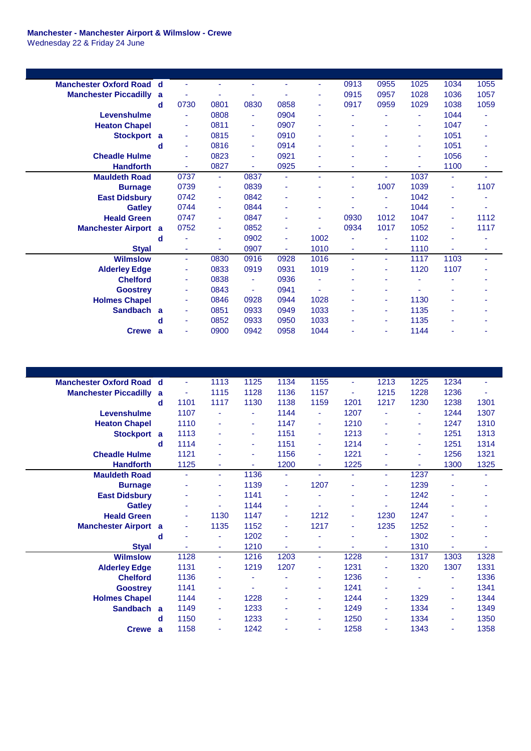## **Manchester - Manchester Airport & Wilmslow - Crewe** Wednesday 22 & Friday 24 June

| <b>Manchester Oxford Road d</b> |              | ٠              |                |      |      | ٠    | 0913           | 0955 | 1025 | 1034 | 1055 |
|---------------------------------|--------------|----------------|----------------|------|------|------|----------------|------|------|------|------|
| <b>Manchester Piccadilly</b>    | a            |                |                |      | ٠    | ٠    | 0915           | 0957 | 1028 | 1036 | 1057 |
|                                 | d            | 0730           | 0801           | 0830 | 0858 | ٠    | 0917           | 0959 | 1029 | 1038 | 1059 |
| Levenshulme                     |              | $\blacksquare$ | 0808           |      | 0904 | ٠    | ٠              | ٠    | ٠    | 1044 |      |
| <b>Heaton Chapel</b>            |              | $\blacksquare$ | 0811           | ٠    | 0907 | ٠    |                |      | ٠    | 1047 | ۰    |
| <b>Stockport</b>                | a            | ٠              | 0815           | ٠    | 0910 | ٠    |                | ٠    | ٠    | 1051 | ۰    |
|                                 | d            | $\sim$         | 0816           | ٠    | 0914 | ٠    |                |      | ٠    | 1051 | ۰    |
| <b>Cheadle Hulme</b>            |              | ٠              | 0823           | ٠    | 0921 | ۰    |                |      | ۰    | 1056 | ٠    |
| <b>Handforth</b>                |              |                | 0827           |      | 0925 | ٠    | ۰              | ۰    |      | 1100 | ٠    |
| <b>Mauldeth Road</b>            |              | 0737           | ٠              | 0837 | ٠    | ۰    | ٠              | ٠    | 1037 | ٠    |      |
| <b>Burnage</b>                  |              | 0739           | ٠              | 0839 | ۰    |      | ٠              | 1007 | 1039 | ٠    | 1107 |
| <b>East Didsbury</b>            |              | 0742           | ٠              | 0842 | ٠    |      |                | ÷    | 1042 | ٠    |      |
| <b>Gatley</b>                   |              | 0744           | ٠              | 0844 | ٠    | ۰    |                | ٠    | 1044 | ٠    |      |
| <b>Heald Green</b>              |              | 0747           | $\blacksquare$ | 0847 | ٠    | ٠    | 0930           | 1012 | 1047 | ٠    | 1112 |
| <b>Manchester Airport</b>       | a            | 0752           | ٠              | 0852 | ٠    | ٠    | 0934           | 1017 | 1052 | ٠    | 1117 |
|                                 | d            |                | ٠              | 0902 | ٠    | 1002 | ä,             | ÷    | 1102 | ÷    |      |
| <b>Styal</b>                    |              | $\blacksquare$ | ٠              | 0907 | ٠    | 1010 | $\blacksquare$ | ٠    | 1110 | ٠    | ٠    |
| <b>Wilmslow</b>                 |              | ٠              | 0830           | 0916 | 0928 | 1016 | $\blacksquare$ | ٠    | 1117 | 1103 | ٠    |
| <b>Alderley Edge</b>            |              | ٠              | 0833           | 0919 | 0931 | 1019 |                | ٠    | 1120 | 1107 |      |
| <b>Chelford</b>                 |              | ٠              | 0838           | ٠    | 0936 | ÷    | ٠              | ٠    |      | ÷    |      |
| <b>Goostrey</b>                 |              | $\blacksquare$ | 0843           |      | 0941 |      |                |      |      |      |      |
| <b>Holmes Chapel</b>            |              | $\blacksquare$ | 0846           | 0928 | 0944 | 1028 | ٠              | ٠    | 1130 | ٠    |      |
| <b>Sandbach</b>                 | $\mathbf{a}$ | $\blacksquare$ | 0851           | 0933 | 0949 | 1033 | ٠              | ٠    | 1135 | ٠    |      |
|                                 | d            | $\blacksquare$ | 0852           | 0933 | 0950 | 1033 | ٠              | ٠    | 1135 | ۰    |      |
| <b>Crewe</b>                    | a            | ÷              | 0900           | 0942 | 0958 | 1044 |                | ٠    | 1144 |      |      |

| <b>Manchester Oxford Road</b> | d | ٠    | 1113           | 1125           | 1134 | 1155 | ٠    | 1213 | 1225           | 1234 | ۰    |
|-------------------------------|---|------|----------------|----------------|------|------|------|------|----------------|------|------|
| <b>Manchester Piccadilly</b>  | a |      | 1115           | 1128           | 1136 | 1157 | ٠    | 1215 | 1228           | 1236 |      |
|                               | d | 1101 | 1117           | 1130           | 1138 | 1159 | 1201 | 1217 | 1230           | 1238 | 1301 |
| Levenshulme                   |   | 1107 | ÷              | $\blacksquare$ | 1144 | ٠    | 1207 | ä,   | $\blacksquare$ | 1244 | 1307 |
| <b>Heaton Chapel</b>          |   | 1110 | ä,             | $\sim$         | 1147 | ٠    | 1210 | ä,   | $\blacksquare$ | 1247 | 1310 |
| <b>Stockport</b>              | a | 1113 | $\blacksquare$ | $\blacksquare$ | 1151 | ٠    | 1213 | ٠    | $\blacksquare$ | 1251 | 1313 |
|                               | d | 1114 | $\blacksquare$ | $\blacksquare$ | 1151 | ٠    | 1214 | ٠    | ٠              | 1251 | 1314 |
| <b>Cheadle Hulme</b>          |   | 1121 | ٠              | ٠              | 1156 | ٠    | 1221 | ٠    | ٠              | 1256 | 1321 |
| <b>Handforth</b>              |   | 1125 | ٠              |                | 1200 | ٠    | 1225 | ÷    |                | 1300 | 1325 |
| <b>Mauldeth Road</b>          |   | ٠    | ٠              | 1136           |      |      | ÷,   | ٠    | 1237           | ٠    | ٠    |
| <b>Burnage</b>                |   | ٠    | ٠              | 1139           | ٠    | 1207 | ٠    | ٠    | 1239           |      |      |
| <b>East Didsbury</b>          |   | ٠    | ٠              | 1141           |      |      | ٠    | ٠    | 1242           |      |      |
| <b>Gatley</b>                 |   | ٠    | ٠              | 1144           | ٠    |      | ٠    | ٠    | 1244           | ٠    |      |
| <b>Heald Green</b>            |   | ٠    | 1130           | 1147           | ÷    | 1212 | ÷    | 1230 | 1247           | ÷.   |      |
| <b>Manchester Airport</b>     | a | ۰    | 1135           | 1152           | ٠    | 1217 | ٠    | 1235 | 1252           |      |      |
|                               | d | ä,   | ٠              | 1202           |      |      | ٠    | ٠    | 1302           |      |      |
| <b>Styal</b>                  |   | ä,   | ٠              | 1210           | ÷    | ٠    | ٠    | ٠    | 1310           | ٠    | ٠    |
| <b>Wilmslow</b>               |   | 1128 | ٠              | 1216           | 1203 | ÷.   | 1228 | ٠    | 1317           | 1303 | 1328 |
| <b>Alderley Edge</b>          |   | 1131 | ٠              | 1219           | 1207 | ٠    | 1231 | ۰    | 1320           | 1307 | 1331 |
| <b>Chelford</b>               |   | 1136 | ٠              |                |      | ۰    | 1236 | ۰    |                | ٠    | 1336 |
| <b>Goostrey</b>               |   | 1141 | ٠              |                |      | ٠    | 1241 | ٠    |                | ٠    | 1341 |
| <b>Holmes Chapel</b>          |   | 1144 | ٠              | 1228           | ٠    | ٠    | 1244 | ۰    | 1329           | ٠    | 1344 |
| <b>Sandbach</b>               | a | 1149 | ٠              | 1233           | ÷    | ٠    | 1249 | ٠    | 1334           | ٠    | 1349 |
|                               | d | 1150 | ٠              | 1233           | ٠    | ٠    | 1250 | ۰    | 1334           | ٠    | 1350 |
| Crewe a                       |   | 1158 | ٠              | 1242           |      | ٠    | 1258 | ٠    | 1343           | ٠    | 1358 |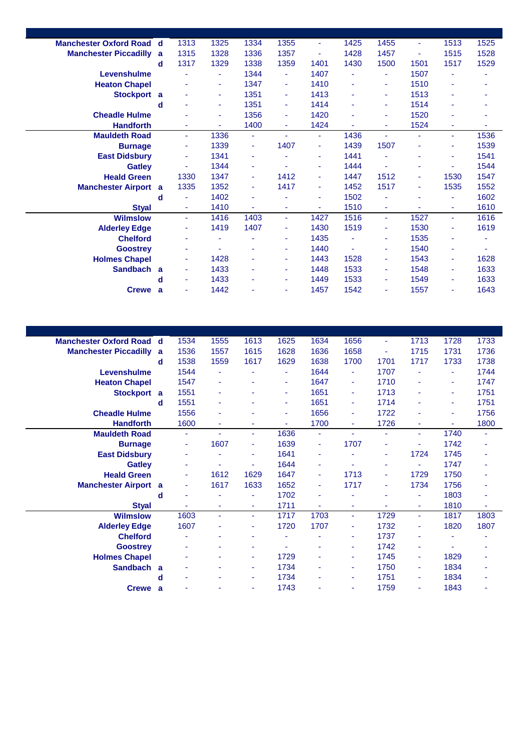| <b>Manchester Oxford Road d</b> |   | 1313 | 1325 | 1334 | 1355           | ٠    | 1425 | 1455                     | $\blacksquare$ | 1513           | 1525 |
|---------------------------------|---|------|------|------|----------------|------|------|--------------------------|----------------|----------------|------|
| <b>Manchester Piccadilly</b>    | a | 1315 | 1328 | 1336 | 1357           | ÷    | 1428 | 1457                     | $\blacksquare$ | 1515           | 1528 |
|                                 | d | 1317 | 1329 | 1338 | 1359           | 1401 | 1430 | 1500                     | 1501           | 1517           | 1529 |
| Levenshulme                     |   |      | ٠    | 1344 | $\blacksquare$ | 1407 | ä,   | ٠                        | 1507           | ۰              |      |
| <b>Heaton Chapel</b>            |   |      | ٠    | 1347 | $\blacksquare$ | 1410 | ÷,   | ٠                        | 1510           | ÷              |      |
| Stockport a                     |   |      | ٠    | 1351 | $\blacksquare$ | 1413 | ٠    | ٠                        | 1513           | ٠              |      |
|                                 | d |      | ٠    | 1351 | ٠              | 1414 |      | ۰                        | 1514           |                |      |
| <b>Cheadle Hulme</b>            |   |      | ۰    | 1356 | ٠              | 1420 | ٠    | ٠                        | 1520           |                |      |
| <b>Handforth</b>                |   |      | ٠    | 1400 | ٠              | 1424 |      | ٠                        | 1524           | ٠              |      |
| <b>Mauldeth Road</b>            |   | ÷    | 1336 | Ξ    | ÷.             | ÷    | 1436 | $\overline{\phantom{a}}$ | $\blacksquare$ | ÷.             | 1536 |
| <b>Burnage</b>                  |   | ٠    | 1339 | ÷    | 1407           | ÷    | 1439 | 1507                     | $\blacksquare$ | $\blacksquare$ | 1539 |
| <b>East Didsbury</b>            |   | ٠    | 1341 | ٠    | ۰              | ٠    | 1441 | ä                        |                | ÷              | 1541 |
| <b>Gatley</b>                   |   | ٠    | 1344 | ٠    | ٠              | ٠    | 1444 | ٠                        | ٠              | ÷.             | 1544 |
| <b>Heald Green</b>              |   | 1330 | 1347 | ÷    | 1412           | ٠    | 1447 | 1512                     | $\blacksquare$ | 1530           | 1547 |
| <b>Manchester Airport</b> a     |   | 1335 | 1352 | ٠    | 1417           | ٠    | 1452 | 1517                     | ٠              | 1535           | 1552 |
|                                 | d |      | 1402 | ä,   |                | ٠    | 1502 |                          |                | ä,             | 1602 |
| <b>Styal</b>                    |   | ٠    | 1410 |      | ٠              | ۰    | 1510 | ۰                        |                | ٠              | 1610 |
| <b>Wilmslow</b>                 |   | ÷.   | 1416 | 1403 | $\blacksquare$ | 1427 | 1516 | ÷                        | 1527           | ÷.             | 1616 |
| <b>Alderley Edge</b>            |   | ٠    | 1419 | 1407 | ٠              | 1430 | 1519 | ٠                        | 1530           | ٠              | 1619 |
| <b>Chelford</b>                 |   |      |      | ÷    | ٠              | 1435 | ä,   | ٠                        | 1535           | ۰              |      |
| <b>Goostrey</b>                 |   | ٠    |      | ٠    | ٠              | 1440 | ä,   | ٠                        | 1540           | $\blacksquare$ |      |
| <b>Holmes Chapel</b>            |   | ٠    | 1428 | ٠    | ٠              | 1443 | 1528 | ٠                        | 1543           | ÷.             | 1628 |
| Sandbach a                      |   | ٠    | 1433 | ٠    | $\sim$         | 1448 | 1533 | ٠                        | 1548           | ÷              | 1633 |
|                                 | d | ٠    | 1433 | ٠    | ٠              | 1449 | 1533 | ٠                        | 1549           | $\sim$         | 1633 |
| <b>Crewe</b>                    | a | ٠    | 1442 | ٠    | ٠              | 1457 | 1542 | ä,                       | 1557           | ٠              | 1643 |
|                                 |   |      |      |      |                |      |      |                          |                |                |      |

| <b>Manchester Oxford Road</b> | d | 1534 | 1555 | 1613 | 1625   | 1634 | 1656 | ٠              | 1713           | 1728   | 1733 |
|-------------------------------|---|------|------|------|--------|------|------|----------------|----------------|--------|------|
| <b>Manchester Piccadilly</b>  | a | 1536 | 1557 | 1615 | 1628   | 1636 | 1658 | ٠              | 1715           | 1731   | 1736 |
|                               | d | 1538 | 1559 | 1617 | 1629   | 1638 | 1700 | 1701           | 1717           | 1733   | 1738 |
| Levenshulme                   |   | 1544 | ۰    |      |        | 1644 | ÷.   | 1707           |                |        | 1744 |
| <b>Heaton Chapel</b>          |   | 1547 | ٠    | ٠    | ٠      | 1647 | ٠    | 1710           | ٠              | ٠      | 1747 |
| <b>Stockport</b>              | a | 1551 | ٠    |      | ٠      | 1651 | ÷    | 1713           |                | ٠      | 1751 |
|                               | d | 1551 | ٠    |      | ٠      | 1651 | ÷.   | 1714           |                | ٠      | 1751 |
| <b>Cheadle Hulme</b>          |   | 1556 | ٠    |      | $\sim$ | 1656 | ÷    | 1722           |                | $\sim$ | 1756 |
| <b>Handforth</b>              |   | 1600 | ٠    |      | ÷.     | 1700 | ٠    | 1726           | ٠              | ÷      | 1800 |
| <b>Mauldeth Road</b>          |   | ÷    | ٠    | ٠    | 1636   | ٠    | ÷    | $\blacksquare$ | ٠              | 1740   | ٠    |
| <b>Burnage</b>                |   | ٠    | 1607 | ٠    | 1639   | ٠    | 1707 | ٠              | ٠              | 1742   |      |
| <b>East Didsbury</b>          |   | ٠    | ۰    | ٠    | 1641   | ٠    |      | ٠              | 1724           | 1745   |      |
| <b>Gatley</b>                 |   |      | ٠    |      | 1644   | ٠    |      | ٠              | ÷              | 1747   |      |
| <b>Heald Green</b>            |   | ٠    | 1612 | 1629 | 1647   | ٠    | 1713 | ٠              | 1729           | 1750   |      |
| <b>Manchester Airport</b>     | a | ٠    | 1617 | 1633 | 1652   | ٠    | 1717 | ٠              | 1734           | 1756   |      |
|                               | d | ٠    | ٠    | ä,   | 1702   | ٠    |      | ÷              | ÷              | 1803   |      |
| <b>Styal</b>                  |   |      | ٠    | ٠    | 1711   | ٠    | ٠    | ٠              | ٠              | 1810   | ٠    |
| <b>Wilmslow</b>               |   | 1603 | ٠    | ٠    | 1717   | 1703 | ÷    | 1729           | $\blacksquare$ | 1817   | 1803 |
| <b>Alderley Edge</b>          |   | 1607 | ٠    | ٠    | 1720   | 1707 | ٠    | 1732           | ٠              | 1820   | 1807 |
| <b>Chelford</b>               |   |      | ٠    | ٠    | ٠      | ٠    | ٠    | 1737           | ٠              | ٠      | ٠    |
| <b>Goostrey</b>               |   |      | ۰    | ۰    |        | ٠    | ٠    | 1742           | ٠              |        |      |
| <b>Holmes Chapel</b>          |   |      | ۰    | ٠    | 1729   | ٠    | ٠    | 1745           | ٠              | 1829   |      |
| Sandbach a                    |   |      |      | ٠    | 1734   |      | ٠    | 1750           | ÷              | 1834   |      |
|                               | d |      |      | ۰    | 1734   |      | ۰    | 1751           | ٠              | 1834   |      |
| <b>Crewe</b>                  | a |      |      | ÷    | 1743   |      | ٠    | 1759           | ٠              | 1843   |      |
|                               |   |      |      |      |        |      |      |                |                |        |      |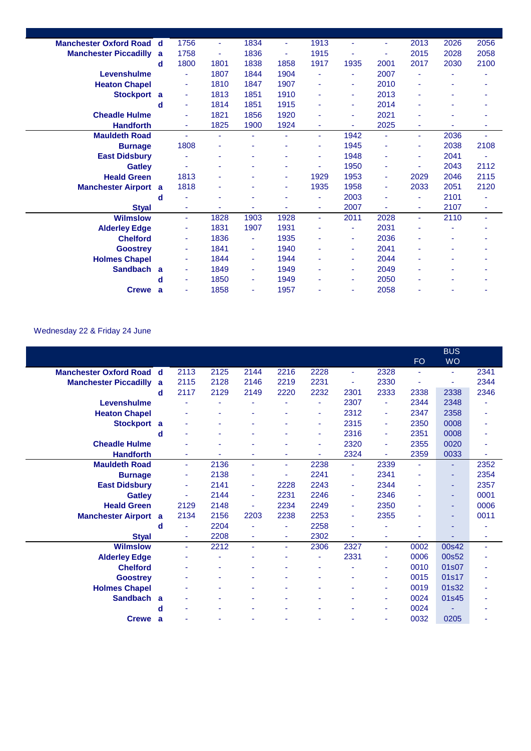| <b>Manchester Oxford Road</b> | d            | 1756 | ٠              | 1834                     | $\blacksquare$ | 1913 | ٠                        | ÷    | 2013                     | 2026 | 2056 |
|-------------------------------|--------------|------|----------------|--------------------------|----------------|------|--------------------------|------|--------------------------|------|------|
| <b>Manchester Piccadilly</b>  | a            | 1758 | ÷              | 1836                     | ٠              | 1915 | ٠                        | ۰    | 2015                     | 2028 | 2058 |
|                               | d            | 1800 | 1801           | 1838                     | 1858           | 1917 | 1935                     | 2001 | 2017                     | 2030 | 2100 |
| Levenshulme                   |              | ٠    | 1807           | 1844                     | 1904           | ÷    | ٠                        | 2007 | ٠                        | ٠    |      |
| <b>Heaton Chapel</b>          |              | ٠    | 1810           | 1847                     | 1907           | ٠    | ٠                        | 2010 | ٠                        | ٠    |      |
| Stockport a                   |              | ٠    | 1813           | 1851                     | 1910           | ٠    | ٠                        | 2013 | ۰                        | ٠    |      |
|                               | d            | ٠    | 1814           | 1851                     | 1915           |      | ٠                        | 2014 |                          | ۰    |      |
| <b>Cheadle Hulme</b>          |              | ٠    | 1821           | 1856                     | 1920           |      | ٠                        | 2021 |                          | ÷    |      |
| <b>Handforth</b>              |              | ٠    | 1825           | 1900                     | 1924           |      |                          | 2025 | ٠                        | ÷    |      |
| <b>Mauldeth Road</b>          |              | ٠    | $\sim$         | ۰                        | ٠              | ٠    | 1942                     | ٠    | ٠                        | 2036 |      |
| <b>Burnage</b>                |              | 1808 | $\blacksquare$ |                          |                |      | 1945                     | ÷    | ٠                        | 2038 | 2108 |
| <b>East Didsbury</b>          |              | ä,   | ٠              |                          | ٠              | ٠    | 1948                     | ٠    | ٠                        | 2041 |      |
| <b>Gatley</b>                 |              |      | ۰              |                          | ٠              |      | 1950                     | ٠    |                          | 2043 | 2112 |
| <b>Heald Green</b>            |              | 1813 | ٠              |                          | ٠              | 1929 | 1953                     | ۰    | 2029                     | 2046 | 2115 |
| <b>Manchester Airport</b>     | a            | 1818 | ä,             |                          | $\sim$         | 1935 | 1958                     | ۰    | 2033                     | 2051 | 2120 |
|                               | d            | ä,   | ä,             |                          |                | ٠    | 2003                     | ٠    | $\overline{\phantom{a}}$ | 2101 | ä,   |
| <b>Styal</b>                  |              | ٠    | ÷              | ٠                        | ٠              | ٠    | 2007                     | ٠    | ÷                        | 2107 | ٠    |
| <b>Wilmslow</b>               |              | ٠    | 1828           | 1903                     | 1928           | ÷    | 2011                     | 2028 | ٠                        | 2110 | ٠    |
| <b>Alderley Edge</b>          |              | ٠    | 1831           | 1907                     | 1931           |      | $\overline{\phantom{a}}$ | 2031 |                          |      |      |
| <b>Chelford</b>               |              | ٠    | 1836           | ٠                        | 1935           |      | ۰                        | 2036 | ۰                        |      |      |
| <b>Goostrey</b>               |              | ٠    | 1841           | ٠                        | 1940           |      | ٠                        | 2041 |                          |      |      |
| <b>Holmes Chapel</b>          |              | ٠    | 1844           | ٠                        | 1944           | ٠    | $\overline{\phantom{a}}$ | 2044 | ۰                        | ٠    |      |
| <b>Sandbach</b>               | $\mathbf{a}$ | ٠    | 1849           | $\overline{\phantom{a}}$ | 1949           | ٠    | ٠                        | 2049 |                          | ٠    |      |
|                               | d            | ٠    | 1850           | $\overline{\phantom{a}}$ | 1949           | ۰    | ٠                        | 2050 |                          | ۰    |      |
| <b>Crewe</b>                  | a            | ٠    | 1858           | ٠                        | 1957           |      | ٠                        | 2058 |                          | ۰    |      |
|                               |              |      |                |                          |                |      |                          |      |                          |      |      |

## Wednesday 22 & Friday 24 June

|                               |    |                |      |      |      |      |                |      |           | <b>BUS</b> |      |
|-------------------------------|----|----------------|------|------|------|------|----------------|------|-----------|------------|------|
|                               |    |                |      |      |      |      |                |      | <b>FO</b> | <b>WO</b>  |      |
| <b>Manchester Oxford Road</b> | -d | 2113           | 2125 | 2144 | 2216 | 2228 | $\blacksquare$ | 2328 |           | ٠          | 2341 |
| <b>Manchester Piccadilly</b>  | a  | 2115           | 2128 | 2146 | 2219 | 2231 |                | 2330 |           | ä          | 2344 |
|                               | d  | 2117           | 2129 | 2149 | 2220 | 2232 | 2301           | 2333 | 2338      | 2338       | 2346 |
| Levenshulme                   |    |                |      |      |      | ٠    | 2307           | Ξ    | 2344      | 2348       |      |
| <b>Heaton Chapel</b>          |    | ٠              | ٠    | ٠    | ۰    | ٠    | 2312           | ٠    | 2347      | 2358       |      |
| <b>Stockport</b>              | a  |                |      |      |      | ٠    | 2315           | ٠    | 2350      | 0008       |      |
|                               | d  |                |      |      |      | ٠    | 2316           | ٠    | 2351      | 0008       |      |
| <b>Cheadle Hulme</b>          |    |                | ٠    |      | ۰    | ٠    | 2320           | ۰    | 2355      | 0020       |      |
| <b>Handforth</b>              |    | ٠              |      | ۰    | ÷    |      | 2324           | ٠    | 2359      | 0033       |      |
| <b>Mauldeth Road</b>          |    | $\blacksquare$ | 2136 | ٠    | ÷    | 2238 | $\blacksquare$ | 2339 | ٠         | ٠          | 2352 |
| <b>Burnage</b>                |    | $\blacksquare$ | 2138 |      | ÷    | 2241 | $\blacksquare$ | 2341 | ٠         | ٠          | 2354 |
| <b>East Didsbury</b>          |    | $\blacksquare$ | 2141 | ٠    | 2228 | 2243 | $\blacksquare$ | 2344 | ۰         | ٠          | 2357 |
| <b>Gatley</b>                 |    | ÷              | 2144 | ٠    | 2231 | 2246 | $\blacksquare$ | 2346 |           | ٠          | 0001 |
| <b>Heald Green</b>            |    | 2129           | 2148 |      | 2234 | 2249 | $\sim$         | 2350 |           | ۰          | 0006 |
| <b>Manchester Airport</b>     | a  | 2134           | 2156 | 2203 | 2238 | 2253 | $\blacksquare$ | 2355 |           | ۳          | 0011 |
|                               | d  | ٠              | 2204 | ٠    | ÷    | 2258 |                | ٠    |           |            |      |
| <b>Styal</b>                  |    | ٠              | 2208 | ٠    | ٠    | 2302 |                | ٠    |           |            | ۰    |
| <b>Wilmslow</b>               |    | $\sim$         | 2212 | ۰    | ÷    | 2306 | 2327           | ٠    | 0002      | 00s42      | ٠    |
| <b>Alderley Edge</b>          |    |                | ۰    |      | ä,   | ٠    | 2331           | ٠    | 0006      | 00s52      |      |
| <b>Chelford</b>               |    | ۰              |      |      |      |      |                | ٠    | 0010      | 01s07      |      |
| <b>Goostrey</b>               |    |                |      |      |      |      |                | ٠    | 0015      | 01s17      |      |
| <b>Holmes Chapel</b>          |    |                |      |      |      |      |                | ٠    | 0019      | 01s32      |      |
| <b>Sandbach</b>               | a  |                |      |      | ۰    |      |                | ٠    | 0024      | 01s45      |      |
|                               | d  |                |      |      | ÷    |      |                | ٠    | 0024      |            |      |
| <b>Crewe</b>                  | a  |                |      |      |      |      |                | ä,   | 0032      | 0205       |      |